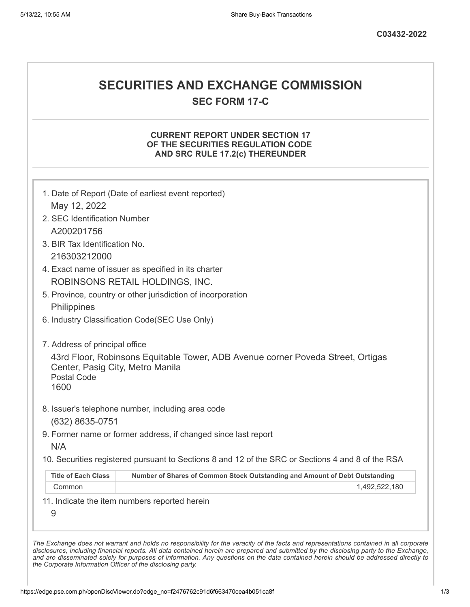# **SECURITIES AND EXCHANGE COMMISSION**

**SEC FORM 17-C**

## **CURRENT REPORT UNDER SECTION 17 OF THE SECURITIES REGULATION CODE AND SRC RULE 17.2(c) THEREUNDER**

| May 12, 2022                     |                                                                                                   |
|----------------------------------|---------------------------------------------------------------------------------------------------|
| 2. SEC Identification Number     |                                                                                                   |
| A200201756                       |                                                                                                   |
| 3. BIR Tax Identification No.    |                                                                                                   |
| 216303212000                     |                                                                                                   |
|                                  | 4. Exact name of issuer as specified in its charter                                               |
|                                  | ROBINSONS RETAIL HOLDINGS, INC.                                                                   |
|                                  | 5. Province, country or other jurisdiction of incorporation                                       |
| Philippines                      |                                                                                                   |
|                                  | 6. Industry Classification Code(SEC Use Only)                                                     |
| 7. Address of principal office   |                                                                                                   |
|                                  | 43rd Floor, Robinsons Equitable Tower, ADB Avenue corner Poveda Street, Ortigas                   |
| Center, Pasig City, Metro Manila |                                                                                                   |
| Postal Code                      |                                                                                                   |
| 1600                             |                                                                                                   |
|                                  | 8. Issuer's telephone number, including area code                                                 |
| (632) 8635-0751                  |                                                                                                   |
|                                  | 9. Former name or former address, if changed since last report                                    |
| N/A                              |                                                                                                   |
|                                  | 10. Securities registered pursuant to Sections 8 and 12 of the SRC or Sections 4 and 8 of the RSA |
| <b>Title of Each Class</b>       | Number of Shares of Common Stock Outstanding and Amount of Debt Outstanding                       |
| Common                           | 1,492,522,180                                                                                     |
|                                  | 11. Indicate the item numbers reported herein                                                     |
|                                  |                                                                                                   |
| 9                                |                                                                                                   |

*the Corporate Information Officer of the disclosing party.*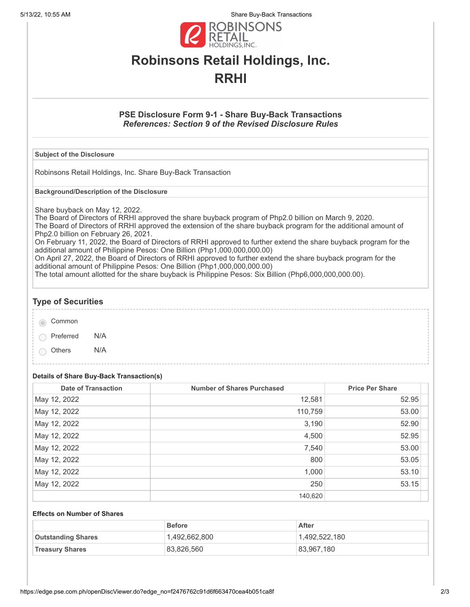5/13/22, 10:55 AM Share Buy-Back Transactions



# **Robinsons Retail Holdings, Inc. RRHI**

### **PSE Disclosure Form 9-1 - Share Buy-Back Transactions** *References: Section 9 of the Revised Disclosure Rules*

#### **Subject of the Disclosure**

Robinsons Retail Holdings, Inc. Share Buy-Back Transaction

**Background/Description of the Disclosure**

Share buyback on May 12, 2022.

The Board of Directors of RRHI approved the share buyback program of Php2.0 billion on March 9, 2020. The Board of Directors of RRHI approved the extension of the share buyback program for the additional amount of Php2.0 billion on February 26, 2021.

On February 11, 2022, the Board of Directors of RRHI approved to further extend the share buyback program for the additional amount of Philippine Pesos: One Billion (Php1,000,000,000.00)

On April 27, 2022, the Board of Directors of RRHI approved to further extend the share buyback program for the additional amount of Philippine Pesos: One Billion (Php1,000,000,000.00)

The total amount allotted for the share buyback is Philippine Pesos: Six Billion (Php6,000,000,000.00).

### **Type of Securities**

Common

Preferred N/A

Others N/A

# **Details of Share Buy-Back Transaction(s)**

| <b>Date of Transaction</b> | <b>Number of Shares Purchased</b> | <b>Price Per Share</b> |
|----------------------------|-----------------------------------|------------------------|
| May 12, 2022               | 12,581                            | 52.95                  |
| May 12, 2022               | 110,759                           | 53.00                  |
| May 12, 2022               | 3,190                             | 52.90                  |
| May 12, 2022               | 4,500                             | 52.95                  |
| May 12, 2022               | 7,540                             | 53.00                  |
| May 12, 2022               | 800                               | 53.05                  |
| May 12, 2022               | 1,000                             | 53.10                  |
| May 12, 2022               | 250                               | 53.15                  |
|                            | 140,620                           |                        |

#### **Effects on Number of Shares**

|                           | <b>Before</b> | After         |
|---------------------------|---------------|---------------|
| <b>Outstanding Shares</b> | 1,492,662,800 | 1,492,522,180 |
| <b>Treasury Shares</b>    | 83,826,560    | 83,967,180    |